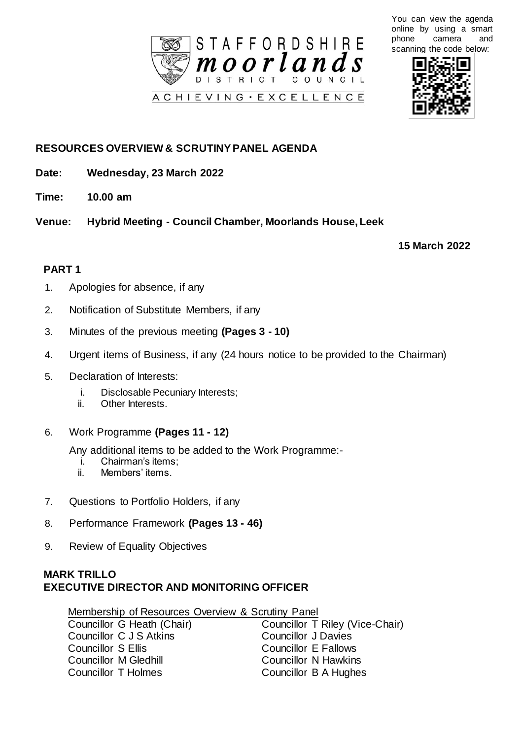

You can view the agenda online by using a smart phone camera and scanning the code below:



## **RESOURCES OVERVIEW & SCRUTINY PANEL AGENDA**

- **Date: Wednesday, 23 March 2022**
- **Time: 10.00 am**
- **Venue: Hybrid Meeting - Council Chamber, Moorlands House, Leek**

**15 March 2022**

## **PART 1**

- 1. Apologies for absence, if any
- 2. Notification of Substitute Members, if any
- 3. Minutes of the previous meeting **(Pages 3 - 10)**
- 4. Urgent items of Business, if any (24 hours notice to be provided to the Chairman)
- 5. Declaration of Interests:
	- i. Disclosable Pecuniary Interests;
	- ii. Other Interests.
- 6. Work Programme **(Pages 11 - 12)**

Any additional items to be added to the Work Programme:-

- i. Chairman's items;
- ii. Members' items.
- 7. Questions to Portfolio Holders, if any
- 8. Performance Framework **(Pages 13 - 46)**
- 9. Review of Equality Objectives

## **MARK TRILLO EXECUTIVE DIRECTOR AND MONITORING OFFICER**

Membership of Resources Overview & Scrutiny Panel

| Councillor G Heath (Chair) | Councillor T Riley (Vice-Chair) |
|----------------------------|---------------------------------|
| Councillor C J S Atkins    | <b>Councillor J Davies</b>      |
| Councillor S Ellis         | Councillor E Fallows            |
| Councillor M Gledhill      | <b>Councillor N Hawkins</b>     |
| Councillor T Holmes        | Councillor B A Hughes           |